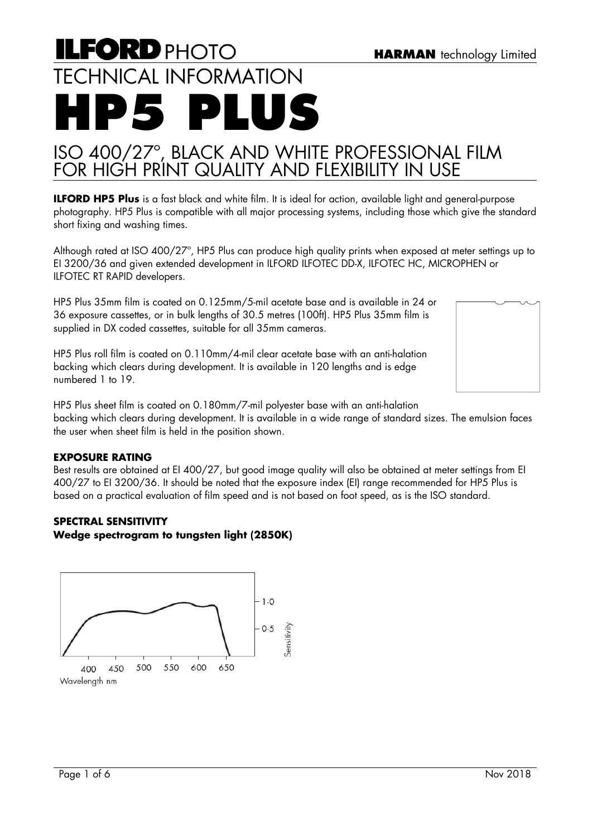# **ILFORD PHOTO** TECHNICAL INFORMATION **HP5 PLUS**

# ISO 400/27º, BLACK AND WHITE PROFESSIONAL FILM FOR HIGH PRINT QUALITY AND FLEXIBILITY IN USE

**ILFORD HP5 Plus** is a fast black and white film. It is ideal for action, available light and general-purpose photography. HP5 Plus is compatible with all major processing systems, including those which give the standard short fixing and washing times.

Although rated at ISO 400/27º, HP5 Plus can produce high quality prints when exposed at meter settings up to EI 3200/36 and given extended development in ILFORD ILFOTEC DD-X, ILFOTEC HC, MICROPHEN or ILFOTEC RT RAPID developers.

HP5 Plus 35mm film is coated on 0.125mm/5-mil acetate base and is available in 24 or 36 exposure cassettes, or in bulk lengths of 30.5 metres (100ft). HP5 Plus 35mm film is supplied in DX coded cassettes, suitable for all 35mm cameras.

HP5 Plus roll film is coated on 0.110mm/4-mil clear acetate base with an anti-halation backing which clears during development. It is available in 120 lengths and is edge numbered 1 to 19.



HP5 Plus sheet film is coated on 0.180mm/7-mil polyester base with an anti-halation backing which clears during development. It is available in a wide range of standard sizes. The emulsion faces the user when sheet film is held in the position shown.

# **EXPOSURE RATING**

Best results are obtained at EI 400/27, but good image quality will also be obtained at meter settings from EI 400/27 to EI 3200/36. It should be noted that the exposure index (EI) range recommended for HP5 Plus is based on a practical evaluation of film speed and is not based on foot speed, as is the ISO standard.

#### **SPECTRAL SENSITIVITY Wedge spectrogram to tungsten light (2850K)**

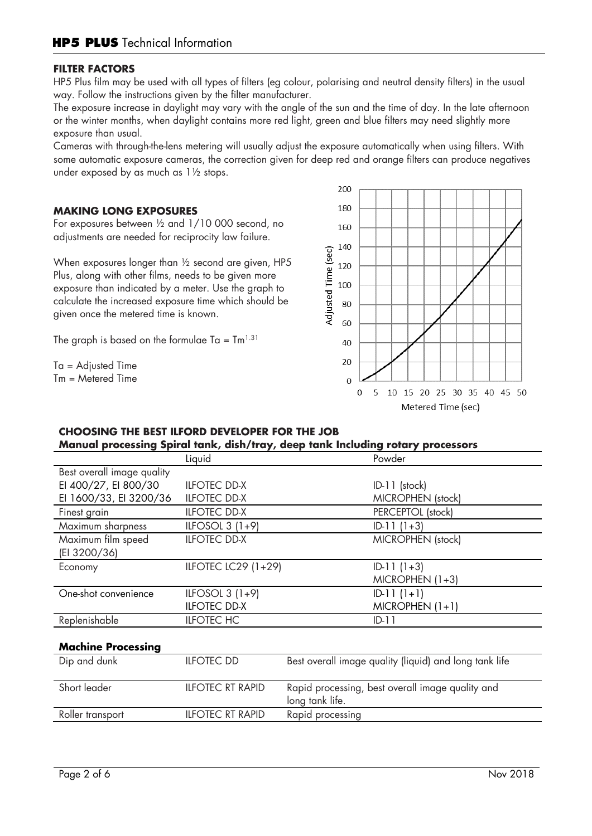# **FILTER FACTORS**

HP5 Plus film may be used with all types of filters (eg colour, polarising and neutral density filters) in the usual way. Follow the instructions given by the filter manufacturer.

The exposure increase in daylight may vary with the angle of the sun and the time of day. In the late afternoon or the winter months, when daylight contains more red light, green and blue filters may need slightly more exposure than usual.

Cameras with through-the-lens metering will usually adjust the exposure automatically when using filters. With some automatic exposure cameras, the correction given for deep red and orange filters can produce negatives under exposed by as much as 1½ stops.

# **MAKING LONG EXPOSURES**

For exposures between ½ and 1/10 000 second, no adjustments are needed for reciprocity law failure.

When exposures longer than  $\frac{1}{2}$  second are given, HP5 Plus, along with other films, needs to be given more exposure than indicated by a meter. Use the graph to calculate the increased exposure time which should be given once the metered time is known.

The graph is based on the formulae Ta =  $\text{Im}^{1.31}$ 

Ta = Adjusted Time  $Tm =$  Metered Time



# **CHOOSING THE BEST ILFORD DEVELOPER FOR THE JOB Manual processing Spiral tank, dish/tray, deep tank Including rotary processors**

|                            |                     | $m$ anda processing spirar rank/ aisn/ may/ accp rank increanig relaty processors |
|----------------------------|---------------------|-----------------------------------------------------------------------------------|
|                            | Liquid              | Powder                                                                            |
| Best overall image quality |                     |                                                                                   |
| EI 400/27, EI 800/30       | <b>ILFOTEC DD-X</b> | $ID-11$ (stock)                                                                   |
| EI 1600/33, EI 3200/36     | <b>ILFOTEC DD-X</b> | <b>MICROPHEN</b> (stock)                                                          |
| Finest grain               | <b>ILFOTEC DD-X</b> | PERCEPTOL (stock)                                                                 |
| Maximum sharpness          | ILFOSOL $3(1+9)$    | $ID-11(1+3)$                                                                      |
| Maximum film speed         | <b>ILFOTEC DD-X</b> | MICROPHEN (stock)                                                                 |
| (EI 3200/36)               |                     |                                                                                   |
| Economy                    | ILFOTEC LC29 (1+29) | $ID-11(1+3)$                                                                      |
|                            |                     | $MICROPHEN (1+3)$                                                                 |
| One-shot convenience       | ILFOSOL $3(1+9)$    | $ID-11(1+1)$                                                                      |
|                            | <b>ILFOTEC DD-X</b> | $MICROPHEN (1+1)$                                                                 |
| Replenishable              | <b>ILFOTEC HC</b>   | $ID-11$                                                                           |
|                            |                     |                                                                                   |
| <b>Machine Processing</b>  |                     |                                                                                   |
| Dip and dunk               | <b>ILFOTEC DD</b>   | Best overall image quality (liquid) and long tank life                            |

| Short leader     | <b>ILFOTEC RT RAPID</b> | Rapid processing, best overall image quality and<br>long tank life. |
|------------------|-------------------------|---------------------------------------------------------------------|
| Roller transport | <b>ILFOTEC RT RAPID</b> | Rapid processing                                                    |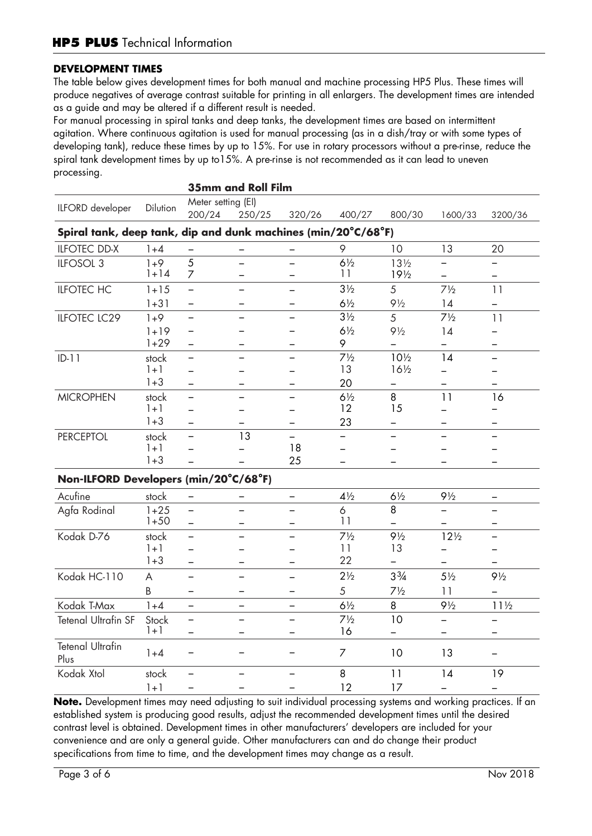# **DEVELOPMENT TIMES**

The table below gives development times for both manual and machine processing HP5 Plus. These times will produce negatives of average contrast suitable for printing in all enlargers. The development times are intended as a guide and may be altered if a different result is needed.

For manual processing in spiral tanks and deep tanks, the development times are based on intermittent agitation. Where continuous agitation is used for manual processing (as in a dish/tray or with some types of developing tank), reduce these times by up to 15%. For use in rotary processors without a pre-rinse, reduce the spiral tank development times by up to15%. A pre-rinse is not recommended as it can lead to uneven processing.

| <b>35mm and Roll Film</b>                                     |          |                          |          |                          |                |                 |                          |                          |
|---------------------------------------------------------------|----------|--------------------------|----------|--------------------------|----------------|-----------------|--------------------------|--------------------------|
| ILFORD developer                                              | Dilution | Meter setting (EI)       |          |                          |                |                 |                          |                          |
|                                                               |          | 200/24                   | 250/25   | 320/26                   | 400/27         | 800/30          | 1600/33                  | 3200/36                  |
| Spiral tank, deep tank, dip and dunk machines (min/20°C/68°F) |          |                          |          |                          |                |                 |                          |                          |
| <b>ILFOTEC DD-X</b>                                           | $1 + 4$  |                          |          |                          | 9              | 10              | 13                       | 20                       |
| ILFOSOL 3                                                     | $1 + 9$  | $\overline{5}$           |          |                          | $6\frac{1}{2}$ | $13\frac{1}{2}$ |                          |                          |
|                                                               | $1 + 14$ | 7                        |          | —                        | 11             | $19\frac{1}{2}$ |                          |                          |
| <b>ILFOTEC HC</b>                                             | $1 + 15$ | $\equiv$                 |          |                          | $3\frac{1}{2}$ | 5               | $7\frac{1}{2}$           | 11                       |
|                                                               | $1 + 31$ | $\overline{\phantom{0}}$ |          |                          | $6\frac{1}{2}$ | $9\frac{1}{2}$  | 14                       |                          |
| <b>ILFOTEC LC29</b>                                           | $1 + 9$  | $\qquad \qquad -$        |          | $\equiv$                 | $3\frac{1}{2}$ | 5               | $7\frac{1}{2}$           | 11                       |
|                                                               | $1 + 19$ | $\overline{\phantom{0}}$ |          |                          | $6\frac{1}{2}$ | $9\frac{1}{2}$  | 14                       | $\overline{\phantom{0}}$ |
|                                                               | $1+29$   | $\equiv$                 |          |                          | 9              |                 |                          |                          |
| $ID-11$                                                       | stock    | $\overline{\phantom{0}}$ |          |                          | $7\frac{1}{2}$ | 10 <sub>2</sub> | 14                       | ▃                        |
|                                                               | $1 + 1$  | $\overline{\phantom{0}}$ |          |                          | 13             | $16\frac{1}{2}$ | $\overline{\phantom{0}}$ | $\overline{\phantom{0}}$ |
|                                                               | $1 + 3$  | $\qquad \qquad -$        |          | -                        | 20             |                 | -                        |                          |
| <b>MICROPHEN</b>                                              | stock    | $\qquad \qquad -$        |          |                          | $6\frac{1}{2}$ | 8               | 11                       | 16                       |
|                                                               | $1 + 1$  |                          |          |                          | 12             | 15              |                          |                          |
|                                                               | $1 + 3$  |                          |          |                          | 23             |                 |                          |                          |
| <b>PERCEPTOL</b>                                              | stock    | $\overline{\phantom{0}}$ | 13       |                          |                |                 |                          |                          |
|                                                               | $1 + 1$  |                          |          | 18                       |                |                 |                          |                          |
|                                                               | $1 + 3$  |                          |          | 25                       |                |                 |                          |                          |
| Non-ILFORD Developers (min/20°C/68°F)                         |          |                          |          |                          |                |                 |                          |                          |
| Acufine                                                       | stock    | $\overline{\phantom{0}}$ |          | -                        | $4\frac{1}{2}$ | $6\frac{1}{2}$  | $9\frac{1}{2}$           |                          |
| Agfa Rodinal                                                  | $1 + 25$ | $\equiv$                 |          |                          | 6              | 8               |                          |                          |
|                                                               | $1 + 50$ | $\equiv$                 |          |                          | 11             |                 |                          |                          |
| Kodak D-76                                                    | stock    | $\equiv$                 |          |                          | $7\frac{1}{2}$ | $9\frac{1}{2}$  | $12\frac{1}{2}$          | $\equiv$                 |
|                                                               | $1 + 1$  | $\overline{\phantom{0}}$ |          |                          | 11             | 13              | $\qquad \qquad -$        |                          |
|                                                               | $1 + 3$  | $\overline{\phantom{0}}$ |          |                          | 22             |                 |                          |                          |
| Kodak HC-110                                                  | A        | $\equiv$                 | $\equiv$ |                          | $2\frac{1}{2}$ | $3\frac{3}{4}$  | $5\frac{1}{2}$           | $9\frac{1}{2}$           |
|                                                               | B        | —                        |          |                          | 5              | $7\frac{1}{2}$  | 11                       |                          |
| Kodak T-Max                                                   | $1 + 4$  | $\overline{\phantom{0}}$ |          | $\qquad \qquad -$        | $6\frac{1}{2}$ | 8               | $9\frac{1}{2}$           | $11\frac{1}{2}$          |
| Tetenal Ultrafin SF                                           | Stock    | $\equiv$                 | $\equiv$ | $\overline{\phantom{0}}$ | $7\frac{1}{2}$ | 10              |                          |                          |
|                                                               | $1 + 1$  | $\equiv$                 |          |                          | 16             |                 | $\equiv$                 |                          |
| <b>Tetenal Ultrafin</b><br>Plus                               | $1 + 4$  | —                        |          |                          | $\overline{7}$ | 10              | 13                       |                          |
| Kodak Xtol                                                    | stock    | $\overline{\phantom{0}}$ |          |                          | 8              | 11              | 14                       | 19                       |
|                                                               | $1 + 1$  | $\overline{\phantom{0}}$ |          |                          | 12             | 17              |                          |                          |

**Note.** Development times may need adjusting to suit individual processing systems and working practices. If an established system is producing good results, adjust the recommended development times until the desired contrast level is obtained. Development times in other manufacturers' developers are included for your convenience and are only a general guide. Other manufacturers can and do change their product specifications from time to time, and the development times may change as a result.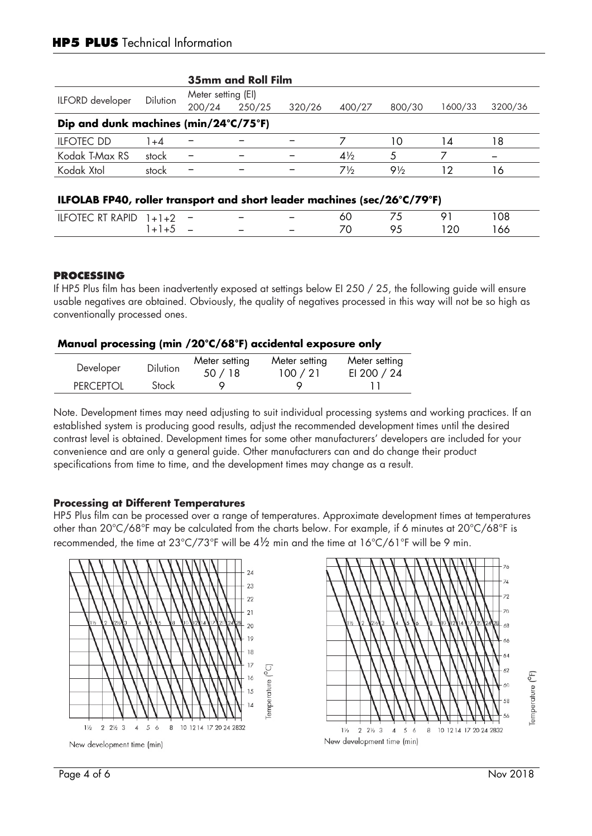|                                       |          |        | <b>35mm and Roll Film</b> |        |                |                |                 |         |  |
|---------------------------------------|----------|--------|---------------------------|--------|----------------|----------------|-----------------|---------|--|
|                                       | Dilution |        | Meter setting (EI)        |        |                |                |                 |         |  |
| ILFORD developer                      |          | 200/24 | 250/25                    | 320/26 | 400/27         | 800/30         | 1600/33         | 3200/36 |  |
| Dip and dunk machines (min/24°C/75°F) |          |        |                           |        |                |                |                 |         |  |
| <b>ILFOTEC DD</b>                     | l +4     |        |                           |        |                | 10             | 14              | 8       |  |
| Kodak T-Max RS                        | stock    |        |                           |        | $4\frac{1}{2}$ | 5              |                 |         |  |
| Kodak Xtol                            | stock    | -      |                           | -      | $7\%$          | $9\frac{1}{2}$ | $\overline{12}$ | 6       |  |

| DADII | $\sim$                                               | $\overline{\phantom{0}}$ | $\overline{\phantom{0}}$ | ou | -- |  |
|-------|------------------------------------------------------|--------------------------|--------------------------|----|----|--|
|       | $\overline{\phantom{a}}$<br>$\overline{\phantom{a}}$ | $\overline{\phantom{0}}$ | $\overline{\phantom{0}}$ | ⇁  |    |  |

# **PROCESSING**

If HP5 Plus film has been inadvertently exposed at settings below EI 250 / 25, the following guide will ensure usable negatives are obtained. Obviously, the quality of negatives processed in this way will not be so high as conventionally processed ones.

# **Manual processing (min /20°C/68°F) accidental exposure only**

| Developer        | <b>Dilution</b> | Meter setting<br>50/18 | Meter setting<br>100 / 21 | Meter setting<br>EI 200 / 24 |
|------------------|-----------------|------------------------|---------------------------|------------------------------|
| <b>PERCEPTOL</b> | Stock           |                        |                           |                              |

Note. Development times may need adjusting to suit individual processing systems and working practices. If an established system is producing good results, adjust the recommended development times until the desired contrast level is obtained. Development times for some other manufacturers' developers are included for your convenience and are only a general guide. Other manufacturers can and do change their product specifications from time to time, and the development times may change as a result.

# **Processing at Different Temperatures**

HP5 Plus film can be processed over a range of temperatures. Approximate development times at temperatures other than 20°C/68°F may be calculated from the charts below. For example, if 6 minutes at 20°C/68°F is recommended, the time at 23°C/73°F will be 4½ min and the time at 16°C/61°F will be 9 min.



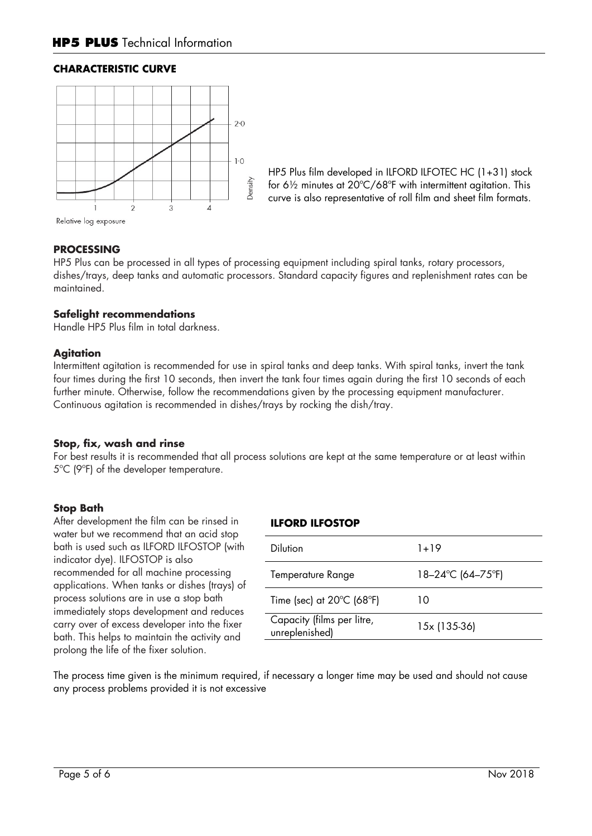# **CHARACTERISTIC CURVE**



HP5 Plus film developed in ILFORD ILFOTEC HC (1+31) stock for 6½ minutes at 20ºC/68ºF with intermittent agitation. This curve is also representative of roll film and sheet film formats.

Relative log exposure

#### **PROCESSING**

HP5 Plus can be processed in all types of processing equipment including spiral tanks, rotary processors, dishes/trays, deep tanks and automatic processors. Standard capacity figures and replenishment rates can be maintained.

#### **Safelight recommendations**

Handle HP5 Plus film in total darkness.

#### **Agitation**

Intermittent agitation is recommended for use in spiral tanks and deep tanks. With spiral tanks, invert the tank four times during the first 10 seconds, then invert the tank four times again during the first 10 seconds of each further minute. Otherwise, follow the recommendations given by the processing equipment manufacturer. Continuous agitation is recommended in dishes/trays by rocking the dish/tray.

#### **Stop, fix, wash and rinse**

For best results it is recommended that all process solutions are kept at the same temperature or at least within 5ºC (9ºF) of the developer temperature.

#### **Stop Bath**

After development the film can be rinsed in water but we recommend that an acid stop bath is used such as ILFORD ILFOSTOP (with indicator dye). ILFOSTOP is also recommended for all machine processing applications. When tanks or dishes (trays) of process solutions are in use a stop bath immediately stops development and reduces carry over of excess developer into the fixer bath. This helps to maintain the activity and prolong the life of the fixer solution.

#### **ILFORD ILFOSTOP**

| Dilution                                       | 1+19              |
|------------------------------------------------|-------------------|
| Temperature Range                              | 18-24°C (64-75°F) |
| Time (sec) at $20^{\circ}$ C (68 $^{\circ}$ F) | 10                |
| Capacity (films per litre,<br>unreplenished)   | 15x (135-36)      |
|                                                |                   |

The process time given is the minimum required, if necessary a longer time may be used and should not cause any process problems provided it is not excessive